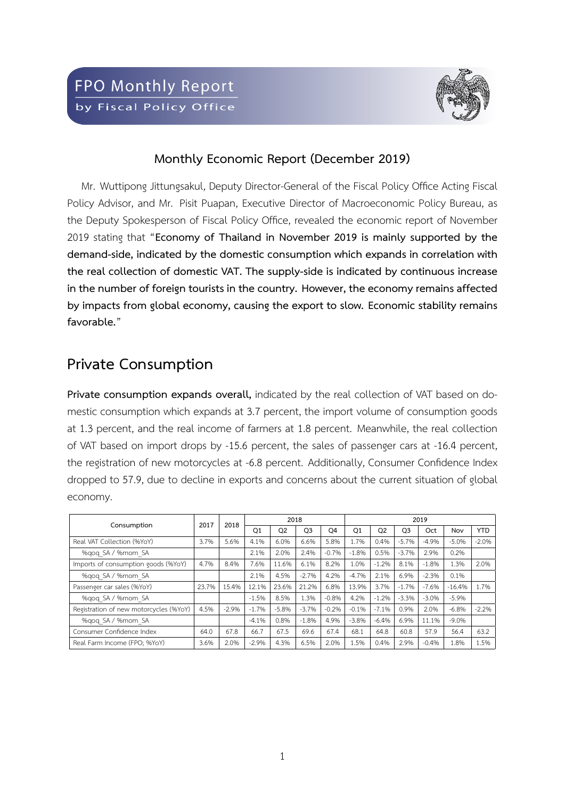

#### **Monthly Economic Report (December 2019)**

Mr. Wuttipong Jittungsakul, Deputy Director-General of the Fiscal Policy Office Acting Fiscal Policy Advisor, and Mr. Pisit Puapan, Executive Director of Macroeconomic Policy Bureau, as the Deputy Spokesperson of Fiscal Policy Office, revealed the economic report of November 2019 stating that "**Economy of Thailand in November 2019 is mainly supported by the** demand-side, indicated by the domestic consumption which expands in correlation with **the real collection of domestic VAT. The supplyside is indicated by continuous increase in the number of foreign tourists in the country. However, the economy remains affected by impacts from global economy, causing the export to slow. Economic stability remains favorable.**"

#### **Private Consumption**

**Private consumption expands overall,** indicated by the real collection of VAT based on domestic consumption which expands at 3.7 percent, the import volume of consumption goods at 1.3 percent, and the real income of farmers at 1.8 percent. Meanwhile, the real collection of VAT based on import drops by -15.6 percent, the sales of passenger cars at -16.4 percent, the registration of new motorcycles at -6.8 percent. Additionally, Consumer Confidence Index dropped to 57.9, due to decline in exports and concerns about the current situation of global economy.

| Consumption                            | 2017  | 2018    |                | 2018           |                |                | 2019           |                |                |         |          |            |  |  |
|----------------------------------------|-------|---------|----------------|----------------|----------------|----------------|----------------|----------------|----------------|---------|----------|------------|--|--|
|                                        |       |         | O <sub>1</sub> | Q <sub>2</sub> | Q <sub>3</sub> | O <sub>4</sub> | O <sub>1</sub> | O <sub>2</sub> | O <sub>3</sub> | Oct     | Nov      | <b>YTD</b> |  |  |
| Real VAT Collection (%YoY)             | 3.7%  | 5.6%    | 4.1%           | 6.0%           | 6.6%           | 5.8%           | 1.7%           | 0.4%           | $-5.7%$        | $-4.9%$ | $-5.0%$  | $-2.0%$    |  |  |
| %gog SA / %mom SA                      |       |         | 2.1%           | 2.0%           | 2.4%           | $-0.7%$        | $-1.8%$        | 0.5%           | $-3.7%$        | 2.9%    | 0.2%     |            |  |  |
| Imports of consumption goods (%YoY)    | 4.7%  | 8.4%    | 7.6%           | 11.6%          | 6.1%           | 8.2%           | 1.0%           | $-1.2%$        | 8.1%           | $-1.8%$ | 1.3%     | 2.0%       |  |  |
| %gog SA / %mom SA                      |       |         | 2.1%           | 4.5%           | $-2.7%$        | 4.2%           | $-4.7%$        | 2.1%           | 6.9%           | $-2.3%$ | 0.1%     |            |  |  |
| Passenger car sales (%YoY)             | 23.7% | 15.4%   | 12.1%          | 23.6%          | 21.2%          | 6.8%           | 13.9%          | 3.7%           | $-1.7%$        | $-7.6%$ | $-16.4%$ | 1.7%       |  |  |
| %gog SA / %mom SA                      |       |         | $-1.5%$        | 8.5%           | 1.3%           | $-0.8%$        | 4.2%           | $-1.2%$        | $-3.3%$        | $-3.0%$ | $-5.9%$  |            |  |  |
| Registration of new motorcycles (%YoY) | 4.5%  | $-2.9%$ | $-1.7%$        | $-5.8%$        | $-3.7%$        | $-0.2%$        | $-0.1%$        | $-7.1%$        | 0.9%           | 2.0%    | $-6.8%$  | $-2.2%$    |  |  |
| %gog SA / %mom SA                      |       |         | $-4.1%$        | 0.8%           | $-1.8%$        | 4.9%           | $-3.8%$        | $-6.4%$        | 6.9%           | 11.1%   | $-9.0%$  |            |  |  |
| Consumer Confidence Index              | 64.0  | 67.8    | 66.7           | 67.5           | 69.6           | 67.4           | 68.1           | 64.8           | 60.8           | 57.9    | 56.4     | 63.2       |  |  |
| Real Farm Income (FPO; %YoY)           | 3.6%  | 2.0%    | $-2.9%$        | 4.3%           | 6.5%           | 2.0%           | 1.5%           | 0.4%           | 2.9%           | $-0.4%$ | 1.8%     | 1.5%       |  |  |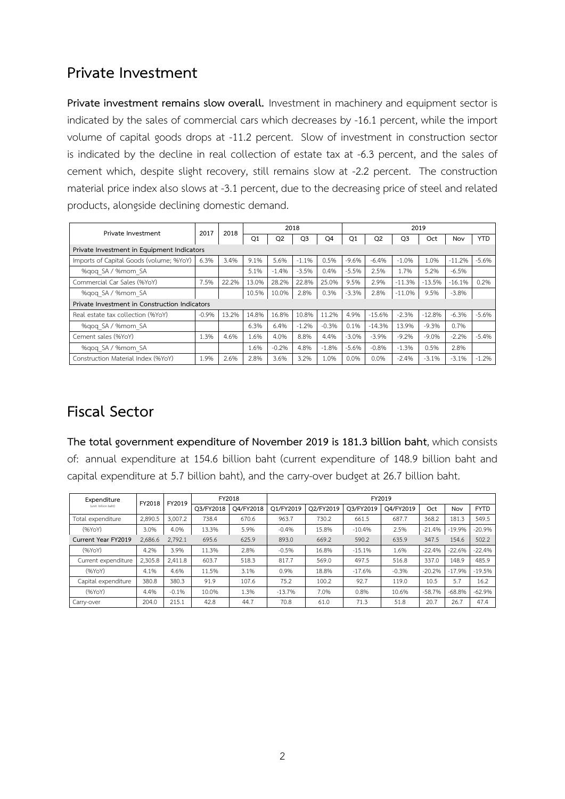#### **Private Investment**

**Private investment remains slow overall.** Investment in machinery and equipment sector is indicated by the sales of commercial cars which decreases by -16.1 percent, while the import volume of capital goods drops at -11.2 percent. Slow of investment in construction sector is indicated by the decline in real collection of estate tax at -6.3 percent, and the sales of cement which, despite slight recovery, still remains slow at -2.2 percent. The construction material price index also slows at -3.1 percent, due to the decreasing price of steel and related products, alongside declining domestic demand.

| Private Investment                            | 2017    | 2018  |       |                | 2018    |         | 2019    |                |          |          |          |            |  |  |
|-----------------------------------------------|---------|-------|-------|----------------|---------|---------|---------|----------------|----------|----------|----------|------------|--|--|
|                                               |         |       | Q1    | O <sub>2</sub> | Q3      | Q4      | Q1      | Q <sub>2</sub> | Q3       | Oct      | Nov      | <b>YTD</b> |  |  |
| Private Investment in Equipment Indicators    |         |       |       |                |         |         |         |                |          |          |          |            |  |  |
| Imports of Capital Goods (volume; %YoY)       | 6.3%    | 3.4%  | 9.1%  | 5.6%           | $-1.1%$ | 0.5%    | $-9.6%$ | $-6.4%$        | $-1.0%$  | 1.0%     | $-11.2%$ | $-5.6%$    |  |  |
| %gog SA / %mom SA                             |         |       | 5.1%  | $-1.4%$        | $-3.5%$ | 0.4%    | $-5.5%$ | 2.5%           | 1.7%     | 5.2%     | $-6.5%$  |            |  |  |
| Commercial Car Sales (%YoY)                   | 7.5%    | 22.2% | 13.0% | 28.2%          | 22.8%   | 25.0%   | 9.5%    | 2.9%           | $-11.3%$ | $-13.5%$ | $-16.1%$ | 0.2%       |  |  |
| %gog SA / %mom SA                             |         |       | 10.5% | 10.0%          | 2.8%    | 0.3%    | $-3.3%$ | 2.8%           | $-11.0%$ | 9.5%     | $-3.8%$  |            |  |  |
| Private Investment in Construction Indicators |         |       |       |                |         |         |         |                |          |          |          |            |  |  |
| Real estate tax collection (%YoY)             | $-0.9%$ | 13.2% | 14.8% | 16.8%          | 10.8%   | 11.2%   | 4.9%    | $-15.6%$       | $-2.3%$  | $-12.8%$ | $-6.3%$  | $-5.6%$    |  |  |
| %gog SA / %mom SA                             |         |       | 6.3%  | 6.4%           | $-1.2%$ | $-0.3%$ | 0.1%    | $-14.3%$       | 13.9%    | $-9.3%$  | 0.7%     |            |  |  |
| Cement sales (%YoY)                           | 1.3%    | 4.6%  | 1.6%  | 4.0%           | 8.8%    | 4.4%    | $-3.0%$ | $-3.9%$        | $-9.2%$  | $-9.0%$  | $-2.2%$  | $-5.4%$    |  |  |
| %gog SA / %mom SA                             |         |       | 1.6%  | $-0.2%$        | 4.8%    | $-1.8%$ | $-5.6%$ | $-0.8%$        | $-1.3%$  | 0.5%     | 2.8%     |            |  |  |
| Construction Material Index (%YoY)            | 1.9%    | 2.6%  | 2.8%  | 3.6%           | 3.2%    | 1.0%    | 0.0%    | 0.0%           | $-2.4%$  | $-3.1%$  | $-3.1%$  | $-1.2%$    |  |  |

# **Fiscal Sector**

**The total government expenditure of November 2019 is 181.3 billion baht**, which consists of: annual expenditure at 154.6 billion baht (current expenditure of 148.9 billion baht and capital expenditure at 5.7 billion baht), and the carry-over budget at 26.7 billion baht.

| Expenditure          | FY2018  | FY2019  |           | FY2018    | FY2019    |           |           |           |          |          |             |  |  |  |  |  |
|----------------------|---------|---------|-----------|-----------|-----------|-----------|-----------|-----------|----------|----------|-------------|--|--|--|--|--|
| (unit: billion baht) |         |         | O3/FY2018 | O4/FY2018 | O1/FY2019 | O2/FY2019 | O3/FY2019 | O4/FY2019 | Oct      | Nov      | <b>FYTD</b> |  |  |  |  |  |
| Total expenditure    | 2.890.5 | 3,007.2 | 738.4     | 670.6     | 963.7     | 730.2     | 661.5     | 687.7     | 368.2    | 181.3    | 549.5       |  |  |  |  |  |
| (96YoY)              | 3.0%    | 4.0%    | 13.3%     | 5.9%      | $-0.4%$   | 15.8%     | $-10.4%$  | 2.5%      | $-21.4%$ | $-19.9%$ | $-20.9%$    |  |  |  |  |  |
| Current Year FY2019  | 2.686.6 | 2.792.1 | 695.6     | 625.9     | 893.0     | 669.2     | 590.2     | 635.9     | 347.5    | 154.6    | 502.2       |  |  |  |  |  |
| (96YoY)              | 4.2%    | 3.9%    | 11.3%     | 2.8%      | $-0.5%$   | 16.8%     | $-15.1%$  | 1.6%      | $-22.4%$ | $-22.6%$ | $-22.4%$    |  |  |  |  |  |
| Current expenditure  | 2.305.8 | 2.411.8 | 603.7     | 518.3     | 817.7     | 569.0     | 497.5     | 516.8     | 337.0    | 148.9    | 485.9       |  |  |  |  |  |
| (96YoY)              | 4.1%    | 4.6%    | 11.5%     | 3.1%      | 0.9%      | 18.8%     | $-17.6%$  | $-0.3%$   | $-20.2%$ | $-17.9%$ | $-19.5%$    |  |  |  |  |  |
| Capital expenditure  | 380.8   | 380.3   | 91.9      | 107.6     | 75.2      | 100.2     | 92.7      | 119.0     | 10.5     | 5.7      | 16.2        |  |  |  |  |  |
| (96YoY)              | 4.4%    | $-0.1%$ | 10.0%     | 1.3%      | $-13.7%$  | 7.0%      | 0.8%      | 10.6%     | $-58.7%$ | $-68.8%$ | $-62.9%$    |  |  |  |  |  |
| Carry-over           | 204.0   | 215.1   | 42.8      | 44.7      | 70.8      | 61.0      | 71.3      | 51.8      | 20.7     | 26.7     | 47.4        |  |  |  |  |  |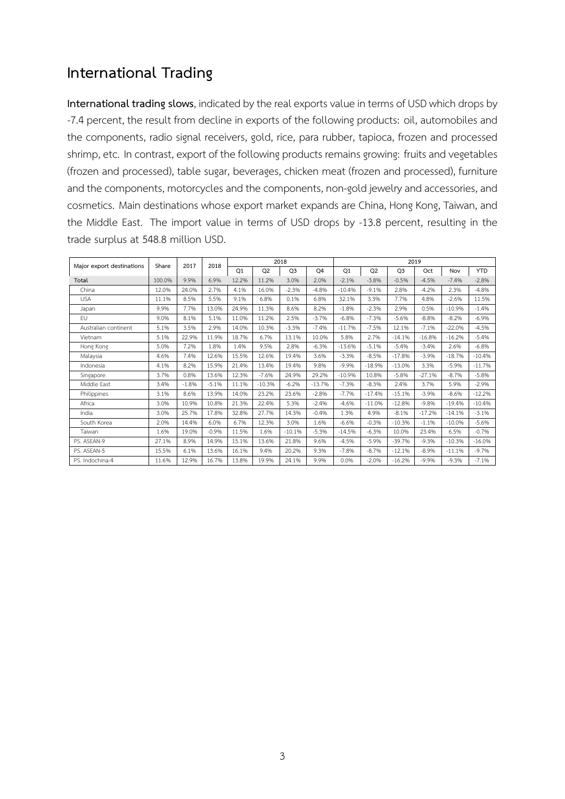### **International Trading**

**International trading slows**, indicated by the real exports value in terms of USD which drops by -7.4 percent, the result from decline in exports of the following products: oil, automobiles and the components, radio signal receivers, gold, rice, para rubber, tapioca, frozen and processed shrimp, etc. In contrast, export of the following products remains growing: fruits and vegetables (frozen and processed), table sugar, beverages, chicken meat (frozen and processed), furniture and the components, motorcycles and the components, non-gold jewelry and accessories, and cosmetics. Main destinations whose export market expands are China, Hong Kong, Taiwan, and the Middle East. The import value in terms of USD drops by -13.8 percent, resulting in the trade surplus at 548.8 million USD.

|                           | Share  | 2017    | 2018    |       |                | 2018           |          |          |                |                | 2019     |          |            |
|---------------------------|--------|---------|---------|-------|----------------|----------------|----------|----------|----------------|----------------|----------|----------|------------|
| Major export destinations |        |         |         | Q1    | Q <sub>2</sub> | Q <sub>3</sub> | Q4       | Q1       | Q <sub>2</sub> | Q <sub>3</sub> | Oct      | Nov      | <b>YTD</b> |
| Total                     | 100.0% | 9.9%    | 6.9%    | 12.2% | 11.2%          | 3.0%           | 2.0%     | $-2.1%$  | $-3.8%$        | $-0.5%$        | $-4.5%$  | $-7.4%$  | $-2.8%$    |
| China                     | 12.0%  | 24.0%   | 2.7%    | 4.1%  | 16.0%          | $-2.3%$        | $-4.8%$  | $-10.4%$ | $-9.1%$        | 2.8%           | $-4.2%$  | 2.3%     | $-4.8%$    |
| <b>USA</b>                | 11.1%  | 8.5%    | 5.5%    | 9.1%  | 6.8%           | 0.1%           | 6.8%     | 32.1%    | 3.3%           | 7.7%           | 4.8%     | $-2.6%$  | 11.5%      |
| Japan                     | 9.9%   | 7.7%    | 13.0%   | 24.9% | 11.3%          | 8.6%           | 8.2%     | $-1.8%$  | $-2.3%$        | 2.9%           | 0.5%     | $-10.9%$ | $-1.4%$    |
| EU.                       | 9.0%   | 8.1%    | 5.1%    | 11.0% | 11.2%          | 2.5%           | $-3.7%$  | $-6.8%$  | $-7.3%$        | $-5.6%$        | $-8.8%$  | $-8.2%$  | $-6.9%$    |
| Australian continent      | 5.1%   | 3.5%    | 2.9%    | 14.0% | 10.3%          | $-3.3%$        | $-7.4%$  | $-11.7%$ | $-7.5%$        | 12.1%          | $-7.1%$  | $-22.0%$ | $-4.5%$    |
| Vietnam                   | 5.1%   | 22.9%   | 11.9%   | 18.7% | 6.7%           | 13.1%          | 10.0%    | 5.8%     | 2.7%           | $-14.1%$       | $-16.8%$ | $-16.2%$ | $-5.4%$    |
| Hong Kong                 | 5.0%   | 7.2%    | 1.8%    | 1.4%  | 9.5%           | 2.8%           | $-6.3%$  | $-13.6%$ | $-5.1%$        | $-5.4%$        | $-3.4%$  | 2.6%     | $-6.8%$    |
| Malaysia                  | 4.6%   | 7.4%    | 12.6%   | 15.5% | 12.6%          | 19.4%          | 3.6%     | $-3.3%$  | $-8.5%$        | $-17.8%$       | $-3.9%$  | $-18.7%$ | $-10.4%$   |
| Indonesia                 | 4.1%   | 8.2%    | 15.9%   | 21.4% | 13.4%          | 19.4%          | 9.8%     | $-9.9%$  | $-18.9%$       | $-13.0%$       | 3.3%     | $-5.9%$  | $-11.7%$   |
| Singapore                 | 3.7%   | 0.8%    | 13.6%   | 12.3% | $-7.6%$        | 24.9%          | 29.2%    | $-10.9%$ | 10.8%          | $-5.8%$        | $-27.1%$ | $-8.7%$  | $-5.8%$    |
| Middle East               | 3.4%   | $-1.8%$ | $-5.1%$ | 11.1% | $-10.3%$       | $-6.2%$        | $-13.7%$ | $-7.3%$  | $-8.3%$        | 2.4%           | 3.7%     | 5.9%     | $-2.9%$    |
| Philippines               | 3.1%   | 8.6%    | 13.9%   | 14.0% | 23.2%          | 23.6%          | $-2.8%$  | $-7.7%$  | $-17.4%$       | $-15.1%$       | $-3.9%$  | $-8.6%$  | $-12.2%$   |
| Africa                    | 3.0%   | 10.9%   | 10.8%   | 21.3% | 22.4%          | 5.3%           | $-2.4%$  | $-4.6%$  | $-11.0%$       | $-12.8%$       | $-9.8%$  | $-19.4%$ | $-10.4%$   |
| India                     | 3.0%   | 25.7%   | 17.8%   | 32.8% | 27.7%          | 14.3%          | $-0.4%$  | 1.3%     | 4.9%           | $-8.1%$        | $-17.2%$ | $-14.1%$ | $-3.1%$    |
| South Korea               | 2.0%   | 14.4%   | 6.0%    | 6.7%  | 12.3%          | 3.0%           | 1.6%     | $-6.6%$  | $-0.3%$        | $-10.3%$       | $-1.1%$  | $-10.0%$ | $-5.6%$    |
| Taiwan                    | 1.6%   | 19.0%   | $-0.9%$ | 11.5% | 1.6%           | $-10.1%$       | $-5.3%$  | $-14.5%$ | $-6.3%$        | 10.0%          | 23.4%    | 6.5%     | $-0.7%$    |
| PS. ASEAN-9               | 27.1%  | 8.9%    | 14.9%   | 15.1% | 13.6%          | 21.8%          | 9.6%     | $-4.5%$  | $-5.9%$        | $-39.7%$       | $-9.3%$  | $-10.3%$ | $-16.0%$   |
| PS. ASEAN-5               | 15.5%  | 6.1%    | 13.6%   | 16.1% | 9.4%           | 20.2%          | 9.3%     | $-7.8%$  | $-8.7%$        | $-12.1%$       | $-8.9%$  | $-11.1%$ | $-9.7%$    |
| PS. Indochina-4           | 11.6%  | 12.9%   | 16.7%   | 13.8% | 19.9%          | 24.1%          | 9.9%     | 0.0%     | $-2.0%$        | $-16.2%$       | $-9.9%$  | $-9.3%$  | $-7.1%$    |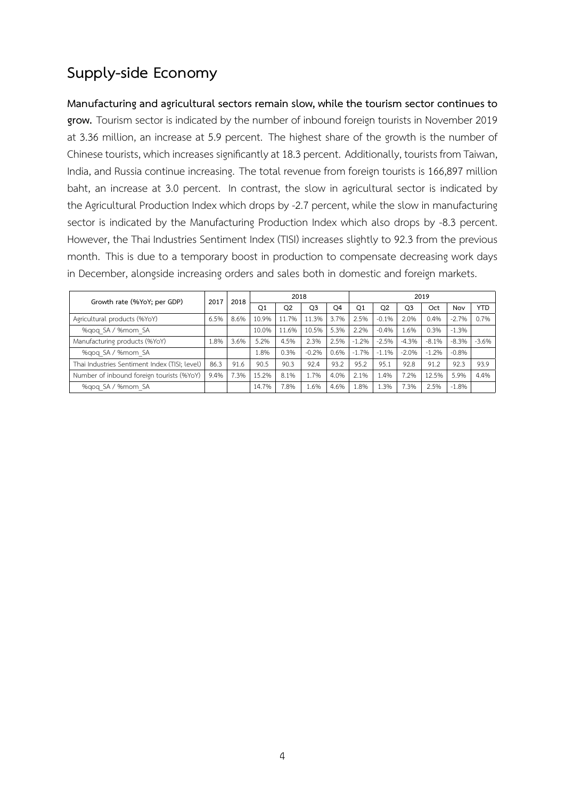## **Supplyside Economy**

**Manufacturing and agricultural sectors remain slow, while the tourism sector continues to grow.** Tourism sector is indicated by the number of inbound foreign tourists in November 2019 at 3.36 million, an increase at 5.9 percent. The highest share of the growth is the number of Chinese tourists, which increases significantly at 18.3 percent. Additionally, tourists from Taiwan, India, and Russia continue increasing. The total revenue from foreign tourists is 166,897 million baht, an increase at 3.0 percent. In contrast, the slow in agricultural sector is indicated by the Agricultural Production Index which drops by -2.7 percent, while the slow in manufacturing sector is indicated by the Manufacturing Production Index which also drops by -8.3 percent. However, the Thai Industries Sentiment Index (TISI) increases slightly to 92.3 from the previous month. This is due to a temporary boost in production to compensate decreasing work days in December, alongside increasing orders and sales both in domestic and foreign markets.

| Growth rate (%YoY; per GDP)                   |      | 2018 |       | 2018           |                |                | 2019           |              |                |         |         |            |  |
|-----------------------------------------------|------|------|-------|----------------|----------------|----------------|----------------|--------------|----------------|---------|---------|------------|--|
|                                               |      |      | Q1    | O <sub>2</sub> | O <sub>3</sub> | O <sub>4</sub> | O <sub>1</sub> | O2           | Q <sub>3</sub> | Oct     | Nov     | <b>YTD</b> |  |
| Agricultural products (%YoY)                  | 6.5% | 8.6% | 10.9% | 11.7%          | 11.3%          | 3.7%           | 2.5%           | $-0.1%$      | 2.0%           | 0.4%    | $-2.7%$ | 0.7%       |  |
| %gog SA / %mom SA                             |      |      | 10.0% | 11.6%          | 10.5%          | 5.3%           | 2.2%           | $-0.4%$      | 1.6%           | 0.3%    | $-1.3%$ |            |  |
| Manufacturing products (%YoY)                 | 1.8% | 3.6% | 5.2%  | 4.5%           | 2.3%           | 2.5%           | $-1.2%$        | $-2.5%$      | $-4.3%$        | $-8.1%$ | $-8.3%$ | $-3.6%$    |  |
| %gog SA / %mom SA                             |      |      | L.8%  | 0.3%           | $-0.2%$        | 0.6%           | $-1.7%$        | 1.1%<br>$-1$ | $-2.0%$        | $-1.2%$ | $-0.8%$ |            |  |
| Thai Industries Sentiment Index (TISI; level) | 86.3 | 91.6 | 90.5  | 90.3           | 92.4           | 93.2           | 95.2           | 95.1         | 92.8           | 91.2    | 92.3    | 93.9       |  |
| Number of inbound foreign tourists (%YoY)     | 9.4% | 7.3% | 15.2% | 8.1%           | 1.7%           | 4.0%           | 2.1%           | .4%          | .2%            | 12.5%   | 5.9%    | 4.4%       |  |
| %gog SA / %mom SA                             |      |      | 14.7% | 7.8%           | 1.6%           | 4.6%           | 1.8%           | .3%          | 7.3%           | 2.5%    | $-1.8%$ |            |  |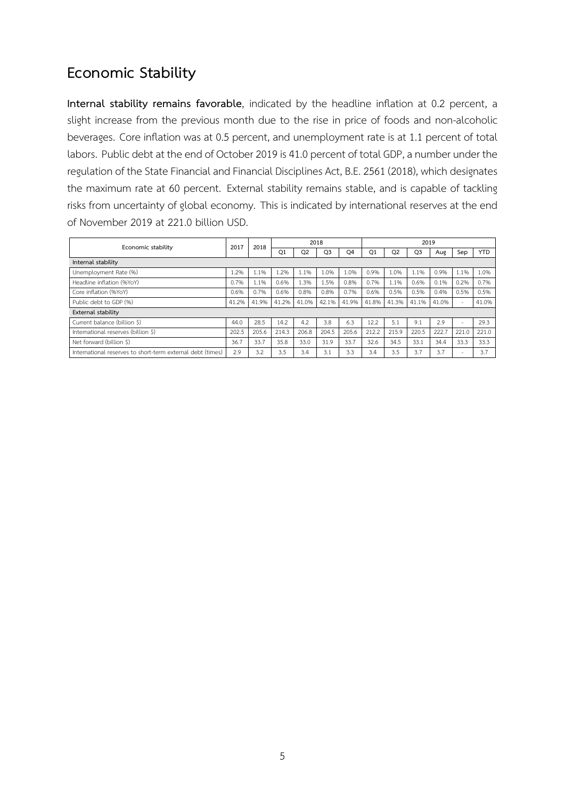### **Economic Stability**

**Internal stability remains favorable**, indicated by the headline inflation at 0.2 percent, a slight increase from the previous month due to the rise in price of foods and non-alcoholic beverages. Core inflation was at 0.5 percent, and unemployment rate is at 1.1 percent of total labors. Public debt at the end of October 2019 is 41.0 percent of total GDP, a number under the regulation of the State Financial and Financial Disciplines Act, B.E. 2561 (2018), which designates the maximum rate at 60 percent. External stability remains stable, and is capable of tackling risks from uncertainty of global economy. This is indicated by international reserves at the end of November 2019 at 221.0 billion USD.

| Economic stability                                         |       | 2018  |       |                | 2018           |       | 2019           |       |                |       |       |            |  |
|------------------------------------------------------------|-------|-------|-------|----------------|----------------|-------|----------------|-------|----------------|-------|-------|------------|--|
|                                                            | 2017  |       | Q1    | Q <sub>2</sub> | O <sub>3</sub> | Q4    | O <sub>1</sub> | O2    | Q <sub>3</sub> | Aug   | Sep   | <b>YTD</b> |  |
| Internal stability                                         |       |       |       |                |                |       |                |       |                |       |       |            |  |
| Unemployment Rate (%)                                      | 1.2%  | 1.1%  | .2%   | 1.1%           | 1.0%           | .0%   | 0.9%           | .0%   | 1.1%           | 0.9%  | 1.1%  | 1.0%       |  |
| Headline inflation (%YoY)                                  | 0.7%  | 1.1%  | 0.6%  | 1.3%           | 1.5%           | 0.8%  | 0.7%           | 1.1%  | 0.6%           | 0.1%  | 0.2%  | 0.7%       |  |
| Core inflation (%YoY)                                      | 0.6%  | 0.7%  | 0.6%  | 0.8%           | 0.8%           | 0.7%  | 0.6%           | 0.5%  | 0.5%           | 0.4%  | 0.5%  | 0.5%       |  |
| Public debt to GDP (%)                                     | 41.2% | 41.9% | 41.2% | 41.0%          | 42.1%          | 41.9% | 41.8%          | 41.3% | 41.1%          | 41.0% | ÷     | 41.0%      |  |
| External stability                                         |       |       |       |                |                |       |                |       |                |       |       |            |  |
| Current balance (billion \$)                               | 44.0  | 28.5  | 14.2  | 4.2            | 3.8            | 6.3   | 12.2           | 5.1   | 9.1            | 2.9   | -     | 29.3       |  |
| International reserves (billion \$)                        | 202.5 | 205.6 | 214.3 | 206.8          | 204.5          | 205.6 | 212.2          | 215.9 | 220.5          | 222.7 | 221.0 | 221.0      |  |
| Net forward (billion \$)                                   | 36.7  | 33.7  | 35.8  | 33.0           | 31.9           | 33.7  | 32.6           | 34.5  | 33.1           | 34.4  | 33.3  | 33.3       |  |
| International reserves to short-term external debt (times) | 2.9   | 3.2   | 3.5   | 3.4            | 3.1            | 3.3   | 3.4            | 3.5   | 3.7            | 3.7   | -     | 3.7        |  |